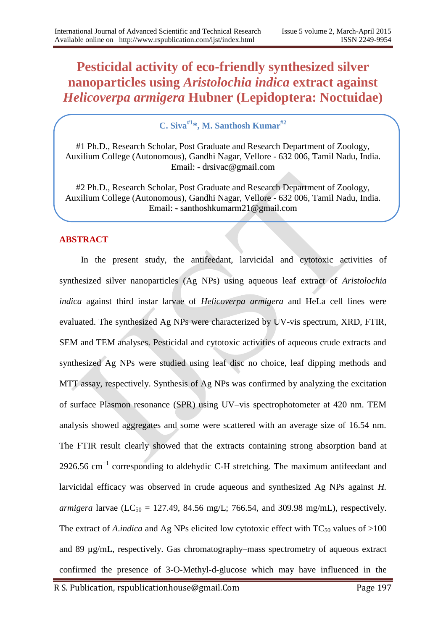# **Pesticidal activity of eco-friendly synthesized silver nanoparticles using** *Aristolochia indica* **extract against**  *Helicoverpa armigera* **Hubner (Lepidoptera: Noctuidae)**

**C. Siva#1\*, M. Santhosh Kumar#2**

#1 Ph.D., Research Scholar, Post Graduate and Research Department of Zoology, Auxilium College (Autonomous), Gandhi Nagar, Vellore - 632 006, Tamil Nadu, India. Email: - [drsivac@gmail.com](mailto:drsivac@gmail.com)

#2 Ph.D., Research Scholar, Post Graduate and Research Department of Zoology, Auxilium College (Autonomous), Gandhi Nagar, Vellore - 632 006, Tamil Nadu, India. Email: - santhoshkumarm21@gmail.com

# **ABSTRACT**

In the present study, the antifeedant, larvicidal and cytotoxic activities of synthesized silver nanoparticles (Ag NPs) using aqueous leaf extract of *Aristolochia indica* against third instar larvae of *Helicoverpa armigera* and HeLa cell lines were evaluated. The synthesized Ag NPs were characterized by UV-vis spectrum, XRD, FTIR, SEM and TEM analyses. Pesticidal and cytotoxic activities of aqueous crude extracts and synthesized Ag NPs were studied using leaf disc no choice, leaf dipping methods and MTT assay, respectively. Synthesis of Ag NPs was confirmed by analyzing the excitation of surface Plasmon resonance (SPR) using UV–vis spectrophotometer at 420 nm. TEM analysis showed aggregates and some were scattered with an average size of 16.54 nm. The FTIR result clearly showed that the extracts containing strong absorption band at 2926.56 cm−1 corresponding to aldehydic C-H stretching. The maximum antifeedant and larvicidal efficacy was observed in crude aqueous and synthesized Ag NPs against *H. armigera* larvae (LC<sub>50</sub> = 127.49, 84.56 mg/L; 766.54, and 309.98 mg/mL), respectively. The extract of *A.indica* and Ag NPs elicited low cytotoxic effect with  $TC_{50}$  values of  $>100$ and 89 µg/mL, respectively. Gas chromatography–mass spectrometry of aqueous extract confirmed the presence of 3-O-Methyl-d-glucose which may have influenced in the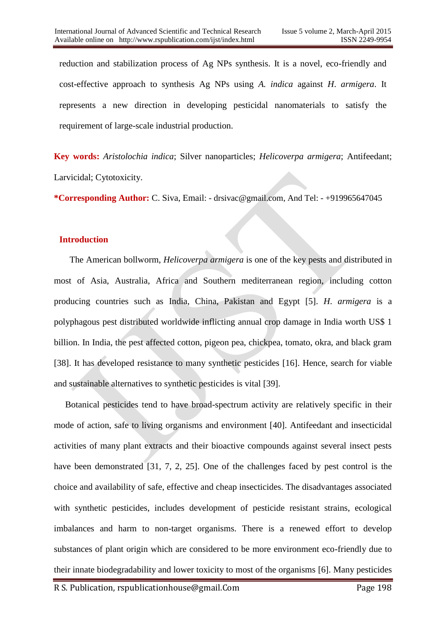reduction and stabilization process of Ag NPs synthesis. It is a novel, eco-friendly and cost-effective approach to synthesis Ag NPs using *A. indica* against *H*. *armigera*. It represents a new direction in developing pesticidal nanomaterials to satisfy the requirement of large-scale industrial production.

**Key words:** *Aristolochia indica*; Silver nanoparticles; *Helicoverpa armigera*; Antifeedant; Larvicidal; Cytotoxicity.

**\*Corresponding Author:** C. Siva, Email: - drsivac@gmail.com, And Tel: - +919965647045

## **Introduction**

 The American bollworm, *Helicoverpa armigera* is one of the key pests and distributed in most of Asia, Australia, Africa and Southern mediterranean region, including cotton producing countries such as India, China, Pakistan and Egypt [5]. *H*. *armigera* is a polyphagous pest distributed worldwide inflicting annual crop damage in India worth US\$ 1 billion. In India, the pest affected cotton, pigeon pea, chickpea, tomato, okra, and black gram [38]. It has developed resistance to many synthetic pesticides [16]. Hence, search for viable and sustainable alternatives to synthetic pesticides is vital [39].

 Botanical pesticides tend to have broad-spectrum activity are relatively specific in their mode of action, safe to living organisms and environment [40]. Antifeedant and insecticidal activities of many plant extracts and their bioactive compounds against several insect pests have been demonstrated [31, 7, 2, 25]. One of the challenges faced by pest control is the choice and availability of safe, effective and cheap insecticides. The disadvantages associated with synthetic pesticides, includes development of pesticide resistant strains, ecological imbalances and harm to non-target organisms. There is a renewed effort to develop substances of plant origin which are considered to be more environment eco-friendly due to their innate biodegradability and lower toxicity to most of the organisms [6]. Many pesticides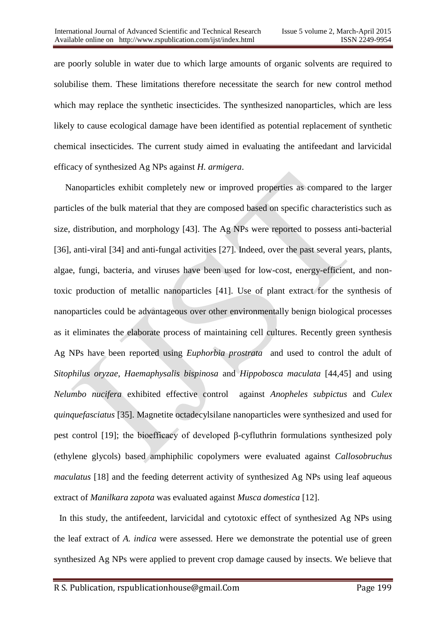are poorly soluble in water due to which large amounts of organic solvents are required to solubilise them. These limitations therefore necessitate the search for new control method which may replace the synthetic insecticides. The synthesized nanoparticles, which are less likely to cause ecological damage have been identified as potential replacement of synthetic chemical insecticides. The current study aimed in evaluating the antifeedant and larvicidal efficacy of synthesized Ag NPs against *H. armigera*.

 Nanoparticles exhibit completely new or improved properties as compared to the larger particles of the bulk material that they are composed based on specific characteristics such as size, distribution, and morphology [43]. The Ag NPs were reported to possess anti-bacterial [36], anti-viral [34] and anti-fungal activities [27]. Indeed, over the past several years, plants, algae, fungi, bacteria, and viruses have been used for low-cost, energy-efficient, and nontoxic production of metallic nanoparticles [41]. Use of plant extract for the synthesis of nanoparticles could be advantageous over other environmentally benign biological processes as it eliminates the elaborate process of maintaining cell cultures. Recently green synthesis Ag NPs have been reported using *Euphorbia prostrata* and used to control the adult of *Sitophilus oryzae*, *Haemaphysalis bispinosa* and *Hippobosca maculata* [44,45] and using *Nelumbo nucifera* exhibited effective control against *Anopheles subpictus* and *Culex quinquefasciatus* [35]. Magnetite octadecylsilane nanoparticles were synthesized and used for pest control [19]; the bioefficacy of developed β-cyfluthrin formulations synthesized poly (ethylene glycols) based amphiphilic copolymers were evaluated against *Callosobruchus maculatus* [18] and the feeding deterrent activity of synthesized Ag NPs using leaf aqueous extract of *Manilkara zapota* was evaluated against *Musca domestica* [12].

In this study, the antifeedent, larvicidal and cytotoxic effect of synthesized Ag NPs using the leaf extract of *A. indica* were assessed. Here we demonstrate the potential use of green synthesized Ag NPs were applied to prevent crop damage caused by insects. We believe that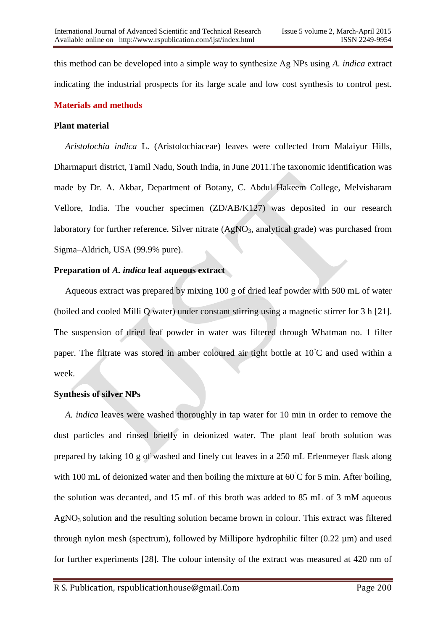this method can be developed into a simple way to synthesize Ag NPs using *A. indica* extract indicating the industrial prospects for its large scale and low cost synthesis to control pest. **Materials and methods**

## **Plant material**

 *Aristolochia indica* L. (Aristolochiaceae) leaves were collected from Malaiyur Hills, Dharmapuri district, Tamil Nadu, South India, in June 2011.The taxonomic identification was made by Dr. A. Akbar, Department of Botany, C. Abdul Hakeem College, Melvisharam Vellore, India. The voucher specimen (ZD/AB/K127) was deposited in our research laboratory for further reference. Silver nitrate  $(AgNO<sub>3</sub>,$  analytical grade) was purchased from Sigma–Aldrich, USA (99.9% pure).

## **Preparation of** *A. indica* **leaf aqueous extract**

 Aqueous extract was prepared by mixing 100 g of dried leaf powder with 500 mL of water (boiled and cooled Milli Q water) under constant stirring using a magnetic stirrer for 3 h [21]. The suspension of dried leaf powder in water was filtered through Whatman no. 1 filter paper. The filtrate was stored in amber coloured air tight bottle at 10◦C and used within a week.

## **Synthesis of silver NPs**

 *A. indica* leaves were washed thoroughly in tap water for 10 min in order to remove the dust particles and rinsed briefly in deionized water. The plant leaf broth solution was prepared by taking 10 g of washed and finely cut leaves in a 250 mL Erlenmeyer flask along with 100 mL of deionized water and then boiling the mixture at 60°C for 5 min. After boiling, the solution was decanted, and 15 mL of this broth was added to 85 mL of 3 mM aqueous  $AgNO<sub>3</sub>$  solution and the resulting solution became brown in colour. This extract was filtered through nylon mesh (spectrum), followed by Millipore hydrophilic filter (0.22 µm) and used for further experiments [28]. The colour intensity of the extract was measured at 420 nm of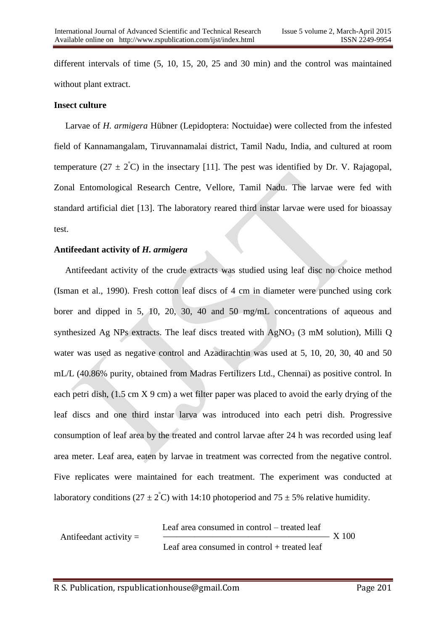different intervals of time (5, 10, 15, 20, 25 and 30 min) and the control was maintained without plant extract.

## **Insect culture**

 Larvae of *H. armigera* Hübner (Lepidoptera: Noctuidae) were collected from the infested field of Kannamangalam, Tiruvannamalai district, Tamil Nadu, India, and cultured at room temperature  $(27 \pm 2^{\circ}\text{C})$  in the insectary [11]. The pest was identified by Dr. V. Rajagopal, Zonal Entomological Research Centre, Vellore, Tamil Nadu. The larvae were fed with standard artificial diet [13]. The laboratory reared third instar larvae were used for bioassay test.

## **Antifeedant activity of** *H. armigera*

 Antifeedant activity of the crude extracts was studied using leaf disc no choice method (Isman et al., 1990). Fresh cotton leaf discs of 4 cm in diameter were punched using cork borer and dipped in 5, 10, 20, 30, 40 and 50 mg/mL concentrations of aqueous and synthesized Ag NPs extracts. The leaf discs treated with  $AgNO<sub>3</sub>$  (3 mM solution), Milli Q water was used as negative control and Azadirachtin was used at 5, 10, 20, 30, 40 and 50 mL/L (40.86% purity, obtained from Madras Fertilizers Ltd., Chennai) as positive control. In each petri dish,  $(1.5 \text{ cm X } 9 \text{ cm})$  a wet filter paper was placed to avoid the early drying of the leaf discs and one third instar larva was introduced into each petri dish. Progressive consumption of leaf area by the treated and control larvae after 24 h was recorded using leaf area meter. Leaf area, eaten by larvae in treatment was corrected from the negative control. Five replicates were maintained for each treatment. The experiment was conducted at laboratory conditions (27  $\pm$  2°C) with 14:10 photoperiod and 75  $\pm$  5% relative humidity.

Antifeedant activity = 
$$
Lear area consumed in control - treated leaf
$$

$$
X 100
$$

$$
Lear area consumed in control + treated leaf
$$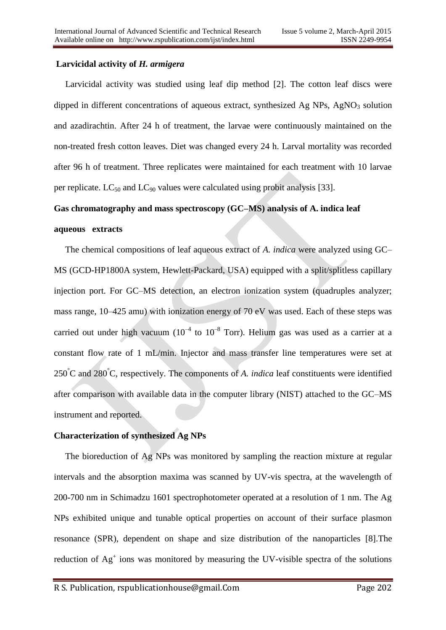## **Larvicidal activity of** *H. armigera*

 Larvicidal activity was studied using leaf dip method [2]. The cotton leaf discs were dipped in different concentrations of aqueous extract, synthesized Ag  $NPs$ , Ag $NOs$  solution and azadirachtin. After 24 h of treatment, the larvae were continuously maintained on the non-treated fresh cotton leaves. Diet was changed every 24 h. Larval mortality was recorded after 96 h of treatment. Three replicates were maintained for each treatment with 10 larvae per replicate.  $LC_{50}$  and  $LC_{90}$  values were calculated using probit analysis [33].

## **Gas chromatography and mass spectroscopy (GC–MS) analysis of A. indica leaf**

#### **aqueous extracts**

The chemical compositions of leaf aqueous extract of *A. indica* were analyzed using GC– MS (GCD-HP1800A system, Hewlett-Packard, USA) equipped with a split/splitless capillary injection port. For GC–MS detection, an electron ionization system (quadruples analyzer; mass range, 10–425 amu) with ionization energy of 70 eV was used. Each of these steps was carried out under high vacuum ( $10^{-4}$  to  $10^{-8}$  Torr). Helium gas was used as a carrier at a constant flow rate of 1 mL/min. Injector and mass transfer line temperatures were set at 250°C and 280°C, respectively. The components of *A. indica* leaf constituents were identified after comparison with available data in the computer library (NIST) attached to the GC–MS instrument and reported.

## **Characterization of synthesized Ag NPs**

 The bioreduction of Ag NPs was monitored by sampling the reaction mixture at regular intervals and the absorption maxima was scanned by UV-vis spectra, at the wavelength of 200-700 nm in Schimadzu 1601 spectrophotometer operated at a resolution of 1 nm. The Ag NPs exhibited unique and tunable optical properties on account of their surface plasmon resonance (SPR), dependent on shape and size distribution of the nanoparticles [8].The reduction of  $Ag<sup>+</sup>$  ions was monitored by measuring the UV-visible spectra of the solutions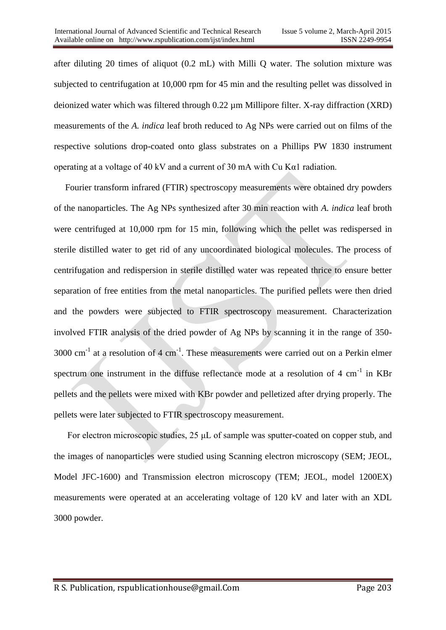after diluting 20 times of aliquot (0.2 mL) with Milli Q water. The solution mixture was subjected to centrifugation at 10,000 rpm for 45 min and the resulting pellet was dissolved in deionized water which was filtered through 0.22 µm Millipore filter. X-ray diffraction (XRD) measurements of the *A. indica* leaf broth reduced to Ag NPs were carried out on films of the respective solutions drop-coated onto glass substrates on a Phillips PW 1830 instrument operating at a voltage of 40 kV and a current of 30 mA with Cu Kα1 radiation.

 Fourier transform infrared (FTIR) spectroscopy measurements were obtained dry powders of the nanoparticles. The Ag NPs synthesized after 30 min reaction with *A. indica* leaf broth were centrifuged at 10,000 rpm for 15 min, following which the pellet was redispersed in sterile distilled water to get rid of any uncoordinated biological molecules. The process of centrifugation and redispersion in sterile distilled water was repeated thrice to ensure better separation of free entities from the metal nanoparticles. The purified pellets were then dried and the powders were subjected to FTIR spectroscopy measurement. Characterization involved FTIR analysis of the dried powder of Ag NPs by scanning it in the range of 350-  $3000 \text{ cm}^{-1}$  at a resolution of 4 cm<sup>-1</sup>. These measurements were carried out on a Perkin elmer spectrum one instrument in the diffuse reflectance mode at a resolution of  $4 \text{ cm}^{-1}$  in KBr pellets and the pellets were mixed with KBr powder and pelletized after drying properly. The pellets were later subjected to FTIR spectroscopy measurement.

 For electron microscopic studies, 25 μL of sample was sputter-coated on copper stub, and the images of nanoparticles were studied using Scanning electron microscopy (SEM; JEOL, Model JFC-1600) and Transmission electron microscopy (TEM; JEOL, model 1200EX) measurements were operated at an accelerating voltage of 120 kV and later with an XDL 3000 powder.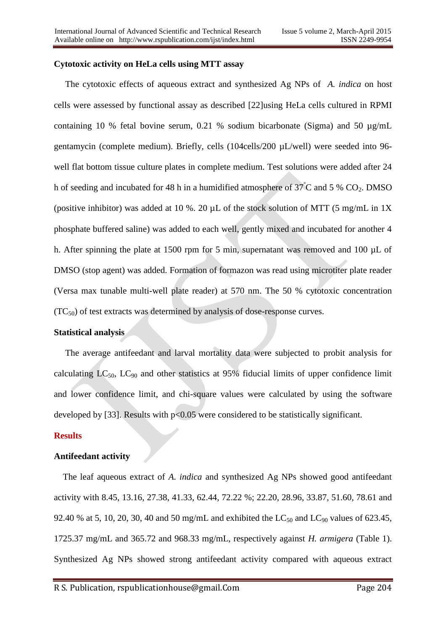## **Cytotoxic activity on HeLa cells using MTT assay**

 The cytotoxic effects of aqueous extract and synthesized Ag NPs of *A. indica* on host cells were assessed by functional assay as described [22]using HeLa cells cultured in RPMI containing 10 % fetal bovine serum, 0.21 % sodium bicarbonate (Sigma) and 50 µg/mL gentamycin (complete medium). Briefly, cells (104cells/200 µL/well) were seeded into 96 well flat bottom tissue culture plates in complete medium. Test solutions were added after 24 h of seeding and incubated for 48 h in a humidified atmosphere of  $37^{\circ}$ C and 5 % CO<sub>2</sub>. DMSO (positive inhibitor) was added at 10 %. 20 µL of the stock solution of MTT (5 mg/mL in 1X phosphate buffered saline) was added to each well, gently mixed and incubated for another 4 h. After spinning the plate at 1500 rpm for 5 min, supernatant was removed and 100  $\mu$ L of DMSO (stop agent) was added. Formation of formazon was read using microtiter plate reader (Versa max tunable multi-well plate reader) at 570 nm. The 50 % cytotoxic concentration  $(TC_{50})$  of test extracts was determined by analysis of dose-response curves.

## **Statistical analysis**

The average antifeedant and larval mortality data were subjected to probit analysis for calculating  $LC_{50}$ ,  $LC_{90}$  and other statistics at 95% fiducial limits of upper confidence limit and lower confidence limit, and chi-square values were calculated by using the software developed by [33]. Results with p<0.05 were considered to be statistically significant.

## **Results**

## **Antifeedant activity**

 The leaf aqueous extract of *A. indica* and synthesized Ag NPs showed good antifeedant activity with 8.45, 13.16, 27.38, 41.33, 62.44, 72.22 %; 22.20, 28.96, 33.87, 51.60, 78.61 and 92.40 % at 5, 10, 20, 30, 40 and 50 mg/mL and exhibited the  $LC_{50}$  and  $LC_{90}$  values of 623.45, 1725.37 mg/mL and 365.72 and 968.33 mg/mL, respectively against *H. armigera* (Table 1). Synthesized Ag NPs showed strong antifeedant activity compared with aqueous extract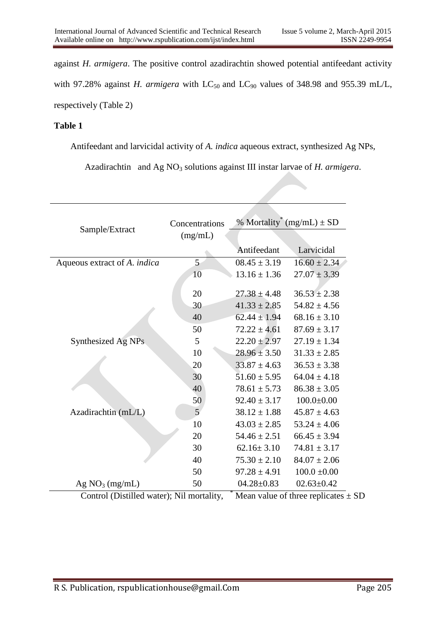against *H. armigera*. The positive control azadirachtin showed potential antifeedant activity with 97.28% against *H. armigera* with  $LC_{50}$  and  $LC_{90}$  values of 348.98 and 955.39 mL/L, respectively (Table 2)

## **Table 1**

Antifeedant and larvicidal activity of *A. indica* aqueous extract, synthesized Ag NPs,

Azadirachtin and Ag NO<sub>3</sub> solutions against III instar larvae of *H. armigera*.

| Sample/Extract                                                                            | Concentrations<br>(mg/mL) | % Mortality <sup>*</sup> (mg/mL) $\pm$ SD |                  |  |
|-------------------------------------------------------------------------------------------|---------------------------|-------------------------------------------|------------------|--|
|                                                                                           |                           | Antifeedant                               | Larvicidal       |  |
| Aqueous extract of A. indica                                                              | 5                         | $08.45 \pm 3.19$                          | $16.60 \pm 2.34$ |  |
|                                                                                           | 10                        | $13.16 \pm 1.36$                          | $27.07 \pm 3.39$ |  |
|                                                                                           | 20                        | $27.38 \pm 4.48$                          | $36.53 \pm 2.38$ |  |
|                                                                                           | 30                        | $41.33 \pm 2.85$                          | $54.82 \pm 4.56$ |  |
|                                                                                           | 40                        | $62.44 \pm 1.94$                          | $68.16 \pm 3.10$ |  |
|                                                                                           | 50                        | $72.22 \pm 4.61$                          | $87.69 \pm 3.17$ |  |
| Synthesized Ag NPs                                                                        | 5                         | $22.20 \pm 2.97$                          | $27.19 \pm 1.34$ |  |
|                                                                                           | 10                        | $28.96 \pm 3.50$                          | $31.33 \pm 2.85$ |  |
|                                                                                           | 20                        | $33.87 \pm 4.63$                          | $36.53 \pm 3.38$ |  |
|                                                                                           | 30                        | $51.60 \pm 5.95$                          | $64.04 \pm 4.18$ |  |
|                                                                                           | 40                        | $78.61 \pm 5.73$                          | $86.38 \pm 3.05$ |  |
|                                                                                           | 50                        | $92.40 \pm 3.17$                          | $100.0 \pm 0.00$ |  |
| Azadirachtin (mL/L)                                                                       | $\overline{5}$            | $38.12 \pm 1.88$                          | $45.87 \pm 4.63$ |  |
|                                                                                           | 10                        | $43.03 \pm 2.85$                          | $53.24 \pm 4.06$ |  |
|                                                                                           | 20                        | $54.46 \pm 2.51$                          | $66.45 \pm 3.94$ |  |
|                                                                                           | 30                        | $62.16 \pm 3.10$                          | $74.81 \pm 3.17$ |  |
|                                                                                           | 40                        | $75.30 \pm 2.10$                          | $84.07 \pm 2.06$ |  |
|                                                                                           | 50                        | $97.28 \pm 4.91$                          | $100.0 \pm 0.00$ |  |
| Ag NO <sub>3</sub> (mg/mL)                                                                | 50                        | $04.28 \pm 0.83$                          | $02.63 \pm 0.42$ |  |
| $Counted$ $(Dietilled$ water). $Nil$ mortality<br>$M_{\rm con}$ value of three replicates |                           |                                           |                  |  |

Control (Distilled water); Nil mortality,  $*$  Mean value of three replicates  $\pm$  SD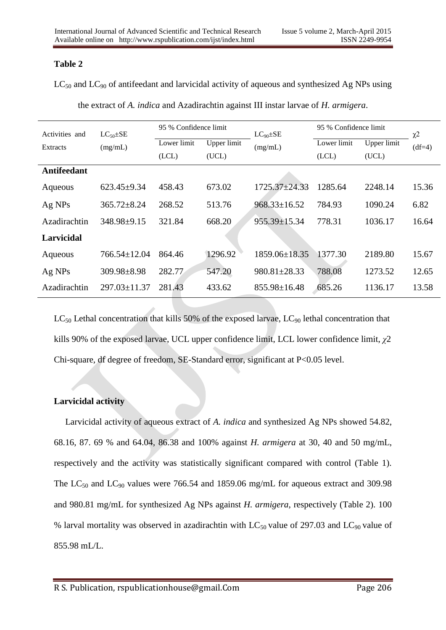# **Table 2**

 $LC_{50}$  and  $LC_{90}$  of antifeedant and larvicidal activity of aqueous and synthesized Ag NPs using

| Activities and     | $LC_{50} \pm SE$   | 95 % Confidence limit |             | $LC_{90} \pm SE$    | 95 % Confidence limit |             | $\chi$ <sup>2</sup> |
|--------------------|--------------------|-----------------------|-------------|---------------------|-----------------------|-------------|---------------------|
| Extracts           | (mg/mL)            | Lower limit           | Upper limit | (mg/mL)             | Lower limit           | Upper limit | $(df=4)$            |
|                    |                    | (LCL)                 | (UCL)       |                     | (LCL)                 | (UCL)       |                     |
| <b>Antifeedant</b> |                    |                       |             |                     |                       |             |                     |
| Aqueous            | $623.45 \pm 9.34$  | 458.43                | 673.02      | $1725.37 \pm 24.33$ | 1285.64               | 2248.14     | 15.36               |
| Ag NPs             | $365.72 \pm 8.24$  | 268.52                | 513.76      | $968.33 \pm 16.52$  | 784.93                | 1090.24     | 6.82                |
| Azadirachtin       | 348.98±9.15        | 321.84                | 668.20      | $955.39 \pm 15.34$  | 778.31                | 1036.17     | 16.64               |
| <b>Larvicidal</b>  |                    |                       |             |                     |                       |             |                     |
| Aqueous            | $766.54 \pm 12.04$ | 864.46                | 1296.92     | 1859.06±18.35       | 1377.30               | 2189.80     | 15.67               |
| Ag NPs             | 309.98±8.98        | 282.77                | 547.20      | $980.81 \pm 28.33$  | 788.08                | 1273.52     | 12.65               |
| Azadirachtin       | $297.03 \pm 11.37$ | 281.43                | 433.62      | $855.98 \pm 16.48$  | 685.26                | 1136.17     | 13.58               |

the extract of *A. indica* and Azadirachtin against III instar larvae of *H. armigera*.

 $LC_{50}$  Lethal concentration that kills 50% of the exposed larvae,  $LC_{90}$  lethal concentration that kills 90% of the exposed larvae, UCL upper confidence limit, LCL lower confidence limit, *χ*2 Chi-square, df degree of freedom, SE-Standard error, significant at P<0.05 level.

# **Larvicidal activity**

 Larvicidal activity of aqueous extract of *A. indica* and synthesized Ag NPs showed 54.82, 68.16, 87. 69 % and 64.04*,* 86.38 and 100% against *H. armigera* at 30, 40 and 50 mg/mL, respectively and the activity was statistically significant compared with control (Table 1). The  $LC_{50}$  and  $LC_{90}$  values were 766.54 and 1859.06 mg/mL for aqueous extract and 309.98 and 980.81 mg/mL for synthesized Ag NPs against *H. armigera*, respectively (Table 2). 100 % larval mortality was observed in azadirachtin with  $LC_{50}$  value of 297.03 and  $LC_{90}$  value of 855.98 mL/L.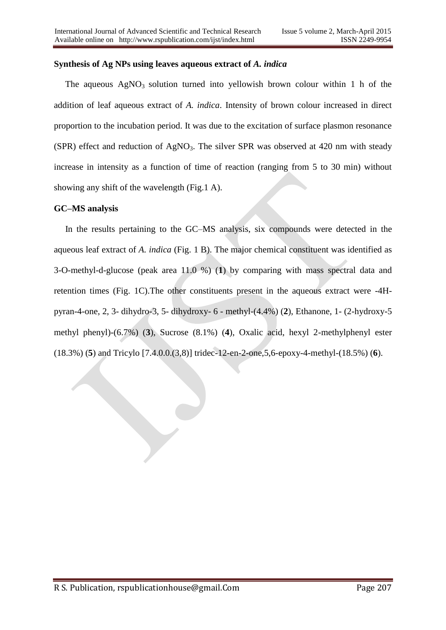## **Synthesis of Ag NPs using leaves aqueous extract of** *A. indica*

The aqueous  $AgNO<sub>3</sub>$  solution turned into yellowish brown colour within 1 h of the addition of leaf aqueous extract of *A. indica*. Intensity of brown colour increased in direct proportion to the incubation period. It was due to the excitation of surface plasmon resonance (SPR) effect and reduction of AgNO<sub>3</sub>. The silver SPR was observed at 420 nm with steady increase in intensity as a function of time of reaction (ranging from 5 to 30 min) without showing any shift of the wavelength (Fig.1 A).

## **GC–MS analysis**

 In the results pertaining to the GC–MS analysis, six compounds were detected in the aqueous leaf extract of *A. indica* (Fig. 1 B). The major chemical constituent was identified as 3-O-methyl-d-glucose (peak area 11.0 %) (**1**) by comparing with mass spectral data and retention times (Fig. 1C).The other constituents present in the aqueous extract were -4Hpyran-4-one, 2, 3- dihydro-3, 5- dihydroxy- 6 - methyl-(4.4%) (**2**), Ethanone, 1- (2-hydroxy-5 methyl phenyl)-(6.7%) (**3**), Sucrose (8.1%) (**4**), Oxalic acid, hexyl 2-methylphenyl ester (18.3%) (**5**) and Tricylo [7.4.0.0.(3,8)] tridec-12-en-2-one,5,6-epoxy-4-methyl-(18.5%) (**6**).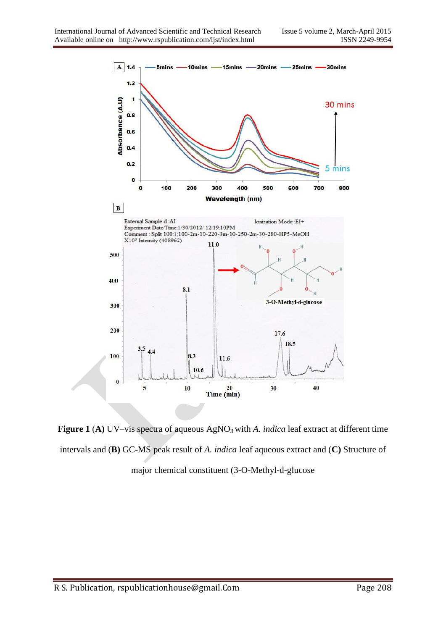

**Figure 1 (A)** UV–vis spectra of aqueous AgNO<sub>3</sub> with *A. indica* leaf extract at different time intervals and (**B)** GC-MS peak result of *A. indica* leaf aqueous extract and (**C)** Structure of major chemical constituent (3-O-Methyl-d-glucose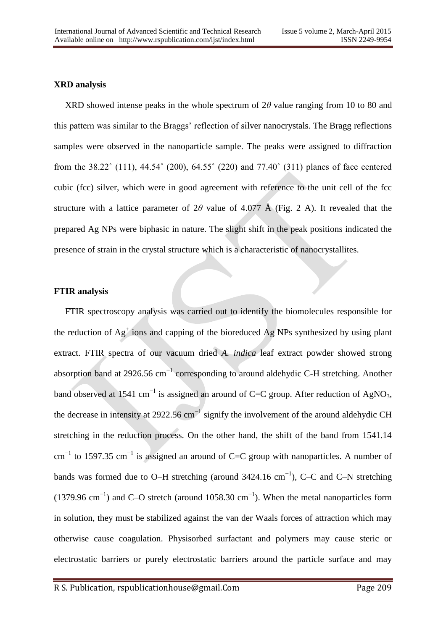# **XRD analysis**

 XRD showed intense peaks in the whole spectrum of 2*θ* value ranging from 10 to 80 and this pattern was similar to the Braggs' reflection of silver nanocrystals. The Bragg reflections samples were observed in the nanoparticle sample. The peaks were assigned to diffraction from the 38.22˚ (111), 44.54˚ (200), 64.55˚ (220) and 77.40˚ (311) planes of face centered cubic (fcc) silver, which were in good agreement with reference to the unit cell of the fcc structure with a lattice parameter of  $2\theta$  value of 4.077 Å (Fig. 2 A). It revealed that the prepared Ag NPs were biphasic in nature. The slight shift in the peak positions indicated the presence of strain in the crystal structure which is a characteristic of nanocrystallites.

## **FTIR analysis**

 FTIR spectroscopy analysis was carried out to identify the biomolecules responsible for the reduction of  $Ag<sup>+</sup>$  ions and capping of the bioreduced  $Ag$  NPs synthesized by using plant extract. FTIR spectra of our vacuum dried *A. indica* leaf extract powder showed strong absorption band at 2926.56 cm−1 corresponding to around aldehydic C-H stretching. Another band observed at 1541 cm<sup>-1</sup> is assigned an around of C=C group. After reduction of AgNO<sub>3</sub>, the decrease in intensity at 2922.56 cm−1 signify the involvement of the around aldehydic CH stretching in the reduction process. On the other hand, the shift of the band from 1541.14 cm<sup>-1</sup> to 1597.35 cm<sup>-1</sup> is assigned an around of C=C group with nanoparticles. A number of bands was formed due to O–H stretching (around 3424.16 cm−1), C–C and C–N stretching (1379.96 cm<sup>-1</sup>) and C–O stretch (around 1058.30 cm<sup>-1</sup>). When the metal nanoparticles form in solution, they must be stabilized against the van der Waals forces of attraction which may otherwise cause coagulation. Physisorbed surfactant and polymers may cause steric or electrostatic barriers or purely electrostatic barriers around the particle surface and may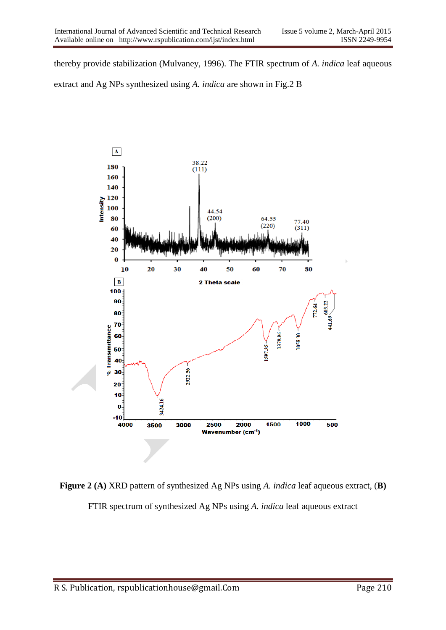thereby provide stabilization (Mulvaney, 1996). The FTIR spectrum of *A. indica* leaf aqueous extract and Ag NPs synthesized using *A. indica* are shown in Fig.2 B



**Figure 2 (A)** XRD pattern of synthesized Ag NPs using *A. indica* leaf aqueous extract, (**B)** FTIR spectrum of synthesized Ag NPs using *A. indica* leaf aqueous extract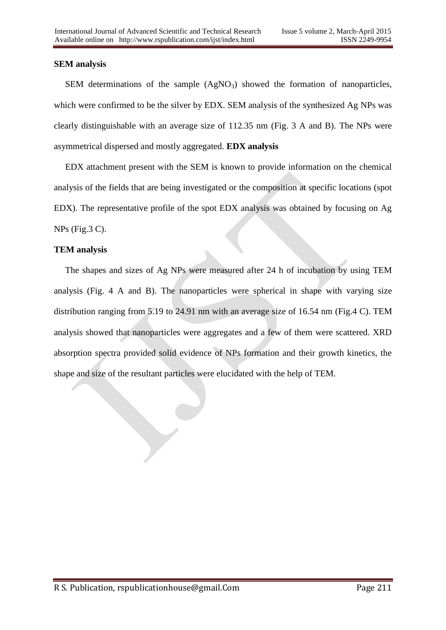## **SEM analysis**

SEM determinations of the sample  $(AgNO<sub>3</sub>)$  showed the formation of nanoparticles, which were confirmed to be the silver by EDX. SEM analysis of the synthesized Ag NPs was clearly distinguishable with an average size of 112.35 nm (Fig. 3 A and B). The NPs were asymmetrical dispersed and mostly aggregated. **EDX analysis**

 EDX attachment present with the SEM is known to provide information on the chemical analysis of the fields that are being investigated or the composition at specific locations (spot EDX). The representative profile of the spot EDX analysis was obtained by focusing on Ag NPs (Fig.3 C).

## **TEM analysis**

 The shapes and sizes of Ag NPs were measured after 24 h of incubation by using TEM analysis (Fig. 4 A and B). The nanoparticles were spherical in shape with varying size distribution ranging from 5.19 to 24.91 nm with an average size of 16.54 nm (Fig.4 C). TEM analysis showed that nanoparticles were aggregates and a few of them were scattered. XRD absorption spectra provided solid evidence of NPs formation and their growth kinetics, the shape and size of the resultant particles were elucidated with the help of TEM.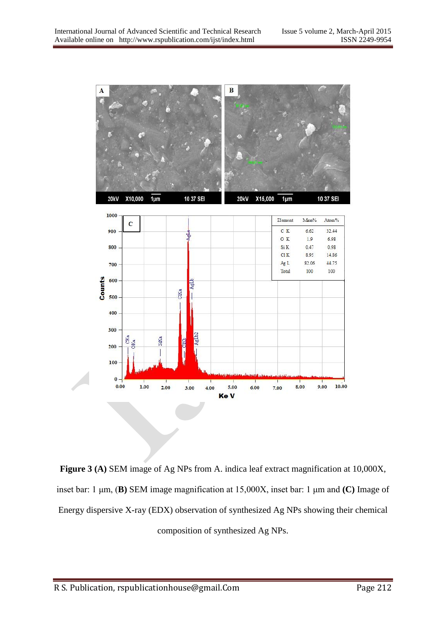

**Figure 3 (A)** SEM image of Ag NPs from A. indica leaf extract magnification at 10,000X, inset bar: 1 μm, (**B)** SEM image magnification at 15,000X, inset bar: 1 μm and **(C)** Image of Energy dispersive X-ray (EDX) observation of synthesized Ag NPs showing their chemical composition of synthesized Ag NPs.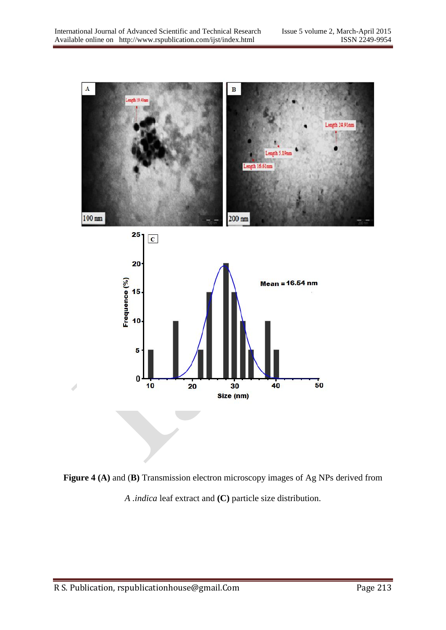

**Figure 4 (A)** and (**B)** Transmission electron microscopy images of Ag NPs derived from *A .indica* leaf extract and **(C)** particle size distribution.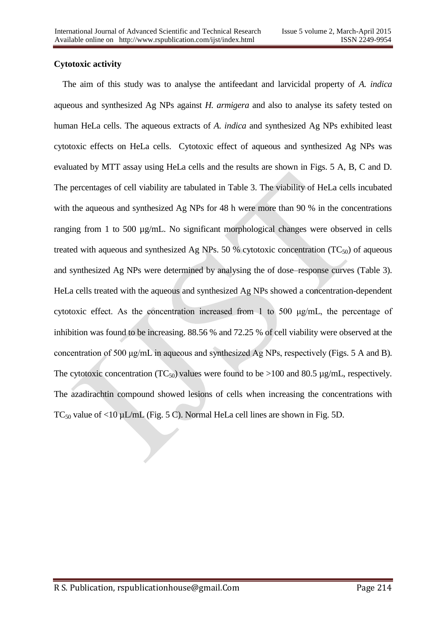# **Cytotoxic activity**

 The aim of this study was to analyse the antifeedant and larvicidal property of *A. indica* aqueous and synthesized Ag NPs against *H. armigera* and also to analyse its safety tested on human HeLa cells. The aqueous extracts of *A. indica* and synthesized Ag NPs exhibited least cytotoxic effects on HeLa cells. Cytotoxic effect of aqueous and synthesized Ag NPs was evaluated by MTT assay using HeLa cells and the results are shown in Figs. 5 A, B, C and D. The percentages of cell viability are tabulated in Table 3. The viability of HeLa cells incubated with the aqueous and synthesized Ag NPs for 48 h were more than 90 % in the concentrations ranging from 1 to 500 µg/mL. No significant morphological changes were observed in cells treated with aqueous and synthesized Ag NPs. 50 % cytotoxic concentration (TC $_{50}$ ) of aqueous and synthesized Ag NPs were determined by analysing the of dose–response curves (Table 3). HeLa cells treated with the aqueous and synthesized Ag NPs showed a concentration-dependent cytotoxic effect. As the concentration increased from 1 to 500 μg/mL, the percentage of inhibition was found to be increasing. 88.56 % and 72.25 % of cell viability were observed at the concentration of 500 μg/mL in aqueous and synthesized Ag NPs, respectively (Figs. 5 A and B). The cytotoxic concentration (TC<sub>50</sub>) values were found to be  $>100$  and 80.5 µg/mL, respectively. The azadirachtin compound showed lesions of cells when increasing the concentrations with TC<sub>50</sub> value of <10  $\mu$ L/mL (Fig. 5 C). Normal HeLa cell lines are shown in Fig. 5D.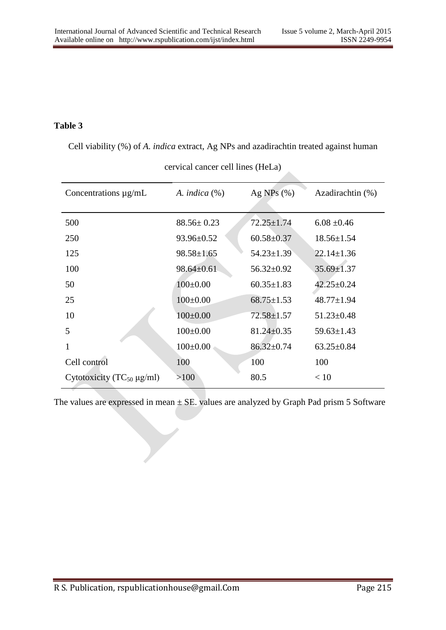# **Table 3**

Cell viability (%) of *A. indica* extract, Ag NPs and azadirachtin treated against human

| Concentrations $\mu$ g/mL           | A. indica $(\%)$ | Ag NPs $(\% )$   | Azadirachtin (%) |
|-------------------------------------|------------------|------------------|------------------|
| 500                                 | $88.56 \pm 0.23$ | $72.25 \pm 1.74$ | $6.08 \pm 0.46$  |
| 250                                 | 93.96±0.52       | $60.58 \pm 0.37$ | $18.56 \pm 1.54$ |
| 125                                 | $98.58 \pm 1.65$ | $54.23 \pm 1.39$ | $22.14 \pm 1.36$ |
| 100                                 | $98.64 \pm 0.61$ | $56.32 \pm 0.92$ | $35.69 \pm 1.37$ |
| 50                                  | $100 \pm 0.00$   | $60.35 \pm 1.83$ | $42.25 \pm 0.24$ |
| 25                                  | $100 \pm 0.00$   | $68.75 \pm 1.53$ | $48.77 \pm 1.94$ |
| 10                                  | $100 \pm 0.00$   | $72.58 \pm 1.57$ | $51.23 \pm 0.48$ |
| 5                                   | $100 \pm 0.00$   | $81.24 \pm 0.35$ | $59.63 \pm 1.43$ |
| 1                                   | $100 \pm 0.00$   | $86.32 \pm 0.74$ | $63.25 \pm 0.84$ |
| Cell control                        | 100              | 100              | 100              |
| Cytotoxicity ( $TC_{50} \mu g/ml$ ) | >100             | 80.5             | < 10             |

cervical cancer cell lines (HeLa)

The values are expressed in mean  $\pm$  SE. values are analyzed by Graph Pad prism 5 Software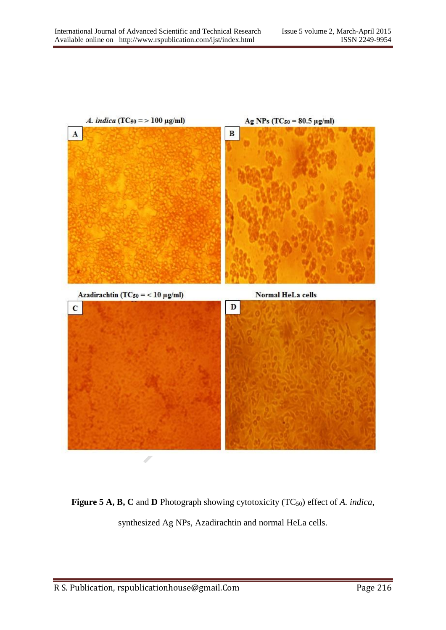

**Figure 5 A, B, C** and **D** Photograph showing cytotoxicity (TC<sub>50</sub>) effect of *A. indica*, synthesized Ag NPs, Azadirachtin and normal HeLa cells.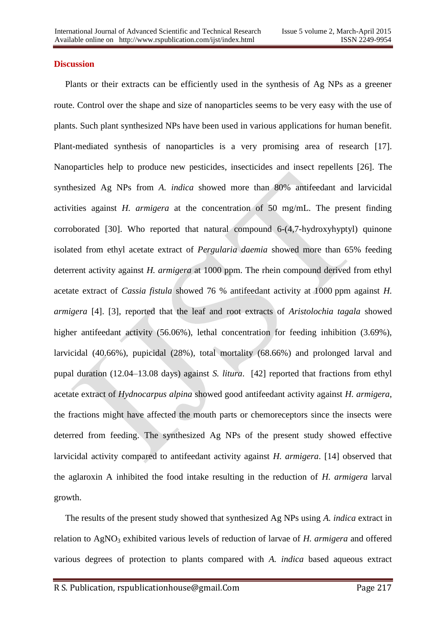## **Discussion**

 Plants or their extracts can be efficiently used in the synthesis of Ag NPs as a greener route. Control over the shape and size of nanoparticles seems to be very easy with the use of plants. Such plant synthesized NPs have been used in various applications for human benefit. Plant-mediated synthesis of nanoparticles is a very promising area of research [17]. Nanoparticles help to produce new pesticides, insecticides and insect repellents [26]. The synthesized Ag NPs from *A. indica* showed more than 80% antifeedant and larvicidal activities against *H. armigera* at the concentration of 50 mg/mL. The present finding corroborated [30]. Who reported that natural compound 6-(4,7-hydroxyhyptyl) quinone isolated from ethyl acetate extract of *Pergularia daemia* showed more than 65% feeding deterrent activity against *H. armigera* at 1000 ppm. The rhein compound derived from ethyl acetate extract of *Cassia fistula* showed 76 % antifeedant activity at 1000 ppm against *H. armigera* [4]. [3], reported that the leaf and root extracts of *Aristolochia tagala* showed higher antifeedant activity (56.06%), lethal concentration for feeding inhibition (3.69%), larvicidal (40.66%), pupicidal (28%), total mortality (68.66%) and prolonged larval and pupal duration (12.04–13.08 days) against *S. litura*. [42] reported that fractions from ethyl acetate extract of *Hydnocarpus alpina* showed good antifeedant activity against *H. armigera*, the fractions might have affected the mouth parts or chemoreceptors since the insects were deterred from feeding. The synthesized Ag NPs of the present study showed effective larvicidal activity compared to antifeedant activity against *H. armigera*. [14] observed that the aglaroxin A inhibited the food intake resulting in the reduction of *H. armigera* larval growth.

 The results of the present study showed that synthesized Ag NPs using *A. indica* extract in relation to AgNO<sub>3</sub> exhibited various levels of reduction of larvae of *H. armigera* and offered various degrees of protection to plants compared with *A. indica* based aqueous extract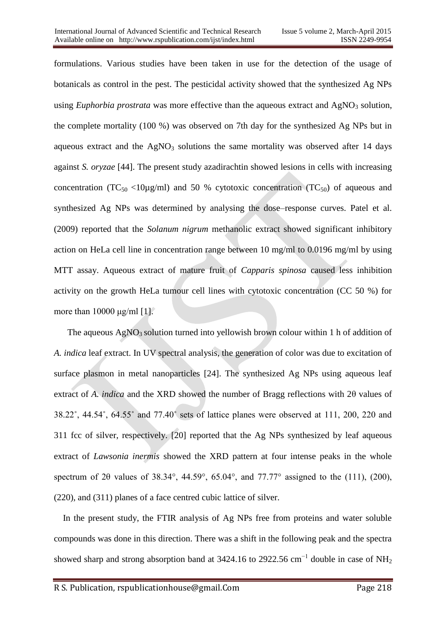formulations. Various studies have been taken in use for the detection of the usage of botanicals as control in the pest. The pesticidal activity showed that the synthesized Ag NPs using *Euphorbia prostrata* was more effective than the aqueous extract and AgNO<sub>3</sub> solution, the complete mortality (100 %) was observed on 7th day for the synthesized Ag NPs but in aqueous extract and the  $AgNO<sub>3</sub>$  solutions the same mortality was observed after 14 days against *S. oryzae* [44]. The present study azadirachtin showed lesions in cells with increasing concentration ( $TC_{50}$  <10 $\mu$ g/ml) and 50 % cytotoxic concentration ( $TC_{50}$ ) of aqueous and synthesized Ag NPs was determined by analysing the dose–response curves. Patel et al. (2009) reported that the *Solanum nigrum* methanolic extract showed significant inhibitory action on HeLa cell line in concentration range between 10 mg/ml to 0.0196 mg/ml by using MTT assay. Aqueous extract of mature fruit of *Capparis spinosa* caused less inhibition activity on the growth HeLa tumour cell lines with cytotoxic concentration (CC 50 %) for more than 10000 μg/ml [1].

The aqueous  $AgNO_3$  solution turned into yellowish brown colour within 1 h of addition of *A. indica* leaf extract. In UV spectral analysis, the generation of color was due to excitation of surface plasmon in metal nanoparticles [24]. The synthesized Ag NPs using aqueous leaf extract of *A. indica* and the XRD showed the number of Bragg reflections with 2θ values of 38.22˚, 44.54˚, 64.55˚ and 77.40˚ sets of lattice planes were observed at 111, 200, 220 and 311 fcc of silver, respectively. [20] reported that the Ag NPs synthesized by leaf aqueous extract of *Lawsonia inermis* showed the XRD pattern at four intense peaks in the whole spectrum of 2θ values of 38.34°, 44.59°, 65.04°, and 77.77° assigned to the (111), (200), (220), and (311) planes of a face centred cubic lattice of silver.

 In the present study, the FTIR analysis of Ag NPs free from proteins and water soluble compounds was done in this direction. There was a shift in the following peak and the spectra showed sharp and strong absorption band at 3424.16 to 2922.56 cm<sup>-1</sup> double in case of NH<sub>2</sub>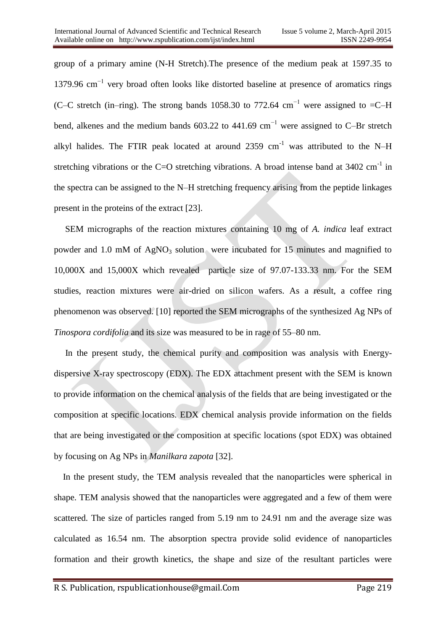group of a primary amine (N-H Stretch).The presence of the medium peak at 1597.35 to 1379.96 cm<sup>-1</sup> very broad often looks like distorted baseline at presence of aromatics rings (C–C stretch (in–ring). The strong bands 1058.30 to 772.64 cm<sup>-1</sup> were assigned to =C–H bend, alkenes and the medium bands 603.22 to 441.69 cm−1 were assigned to C–Br stretch alkyl halides. The FTIR peak located at around  $2359 \text{ cm}^{-1}$  was attributed to the N–H stretching vibrations or the C=O stretching vibrations. A broad intense band at  $3402 \text{ cm}^{-1}$  in the spectra can be assigned to the N–H stretching frequency arising from the peptide linkages present in the proteins of the extract [23].

 SEM micrographs of the reaction mixtures containing 10 mg of *A. indica* leaf extract powder and 1.0 mM of  $AgNO<sub>3</sub>$  solution were incubated for 15 minutes and magnified to 10,000X and 15,000X which revealed particle size of 97.07-133.33 nm. For the SEM studies, reaction mixtures were air-dried on silicon wafers. As a result, a coffee ring phenomenon was observed. [10] reported the SEM micrographs of the synthesized Ag NPs of *Tinospora cordifolia* and its size was measured to be in rage of 55–80 nm.

 In the present study, the chemical purity and composition was analysis with Energydispersive X-ray spectroscopy (EDX). The EDX attachment present with the SEM is known to provide information on the chemical analysis of the fields that are being investigated or the composition at specific locations. EDX chemical analysis provide information on the fields that are being investigated or the composition at specific locations (spot EDX) was obtained by focusing on Ag NPs in *Manilkara zapota* [32].

 In the present study, the TEM analysis revealed that the nanoparticles were spherical in shape. TEM analysis showed that the nanoparticles were aggregated and a few of them were scattered. The size of particles ranged from 5.19 nm to 24.91 nm and the average size was calculated as 16.54 nm. The absorption spectra provide solid evidence of nanoparticles formation and their growth kinetics, the shape and size of the resultant particles were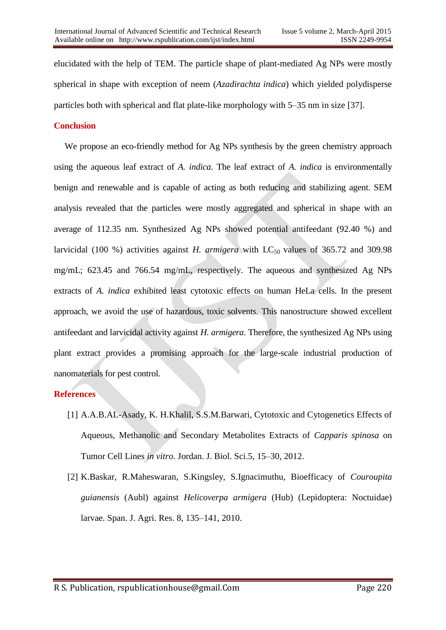elucidated with the help of TEM. The particle shape of plant-mediated Ag NPs were mostly spherical in shape with exception of neem (*Azadirachta indica*) which yielded polydisperse particles both with spherical and flat plate-like morphology with 5–35 nm in size [37].

## **Conclusion**

We propose an eco-friendly method for Ag NPs synthesis by the green chemistry approach using the aqueous leaf extract of *A. indica*. The leaf extract of *A. indica* is environmentally benign and renewable and is capable of acting as both reducing and stabilizing agent. SEM analysis revealed that the particles were mostly aggregated and spherical in shape with an average of 112.35 nm. Synthesized Ag NPs showed potential antifeedant (92.40 %) and larvicidal (100 %) activities against *H. armigera* with  $LC_{50}$  values of 365.72 and 309.98 mg/mL; 623.45 and 766.54 mg/mL, respectively. The aqueous and synthesized Ag NPs extracts of *A. indica* exhibited least cytotoxic effects on human HeLa cells. In the present approach, we avoid the use of hazardous, toxic solvents. This nanostructure showed excellent antifeedant and larvicidal activity against *H. armigera*. Therefore, the synthesized Ag NPs using plant extract provides a promising approach for the large-scale industrial production of nanomaterials for pest control.

## **References**

- [1] A.A.B.AL-Asady, K. H.Khalil, S.S.M.Barwari, Cytotoxic and Cytogenetics Effects of Aqueous, Methanolic and Secondary Metabolites Extracts of *Capparis spinosa* on Tumor Cell Lines *in vitro*. Jordan. J. Biol. Sci.5, 15–30, 2012.
- [2] K.Baskar, R.Maheswaran, S.Kingsley, S.Ignacimuthu, Bioefficacy of *Couroupita guianensis* (Aubl) against *Helicoverpa armigera* (Hub) (Lepidoptera: Noctuidae) larvae. Span. J. Agri. Res. 8, 135–141, 2010.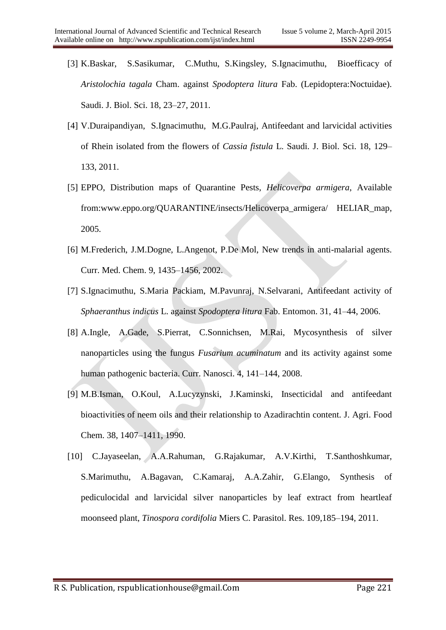- [3] K.Baskar, S.Sasikumar, C.Muthu, S.Kingsley, S.Ignacimuthu, Bioefficacy of *Aristolochia tagala* Cham. against *Spodoptera litura* Fab. (Lepidoptera:Noctuidae). Saudi. J. Biol. Sci. 18, 23–27, 2011.
- [4] V.Duraipandiyan, S.Ignacimuthu, M.G.Paulraj, Antifeedant and larvicidal activities of Rhein isolated from the flowers of *Cassia fistula* L. Saudi. J. Biol. Sci. 18, 129– 133, 2011.
- [5] EPPO, Distribution maps of Quarantine Pests, *Helicoverpa armigera*, Available from[:www.eppo.org/QUARANTINE/insects/Helicoverpa\\_armigera/ HELIAR\\_map,](http://www.eppo.org/QUARANTINE/insects/Helicoverpa_armigera/%20HELIAR_map) 2005.
- [6] M.Frederich, J.M.Dogne, L.Angenot, P.De Mol, New trends in anti-malarial agents. Curr. Med. Chem. 9, 1435–1456, 2002.
- [7] S.Ignacimuthu, S.Maria Packiam, M.Pavunraj, N.Selvarani, Antifeedant activity of *Sphaeranthus indicus* L. against *Spodoptera litura* Fab. Entomon. 31, 41–44, 2006.
- [8] A.Ingle, A.Gade, S.Pierrat, C.Sonnichsen, M.Rai, Mycosynthesis of silver nanoparticles using the fungus *Fusarium acuminatum* and its activity against some human pathogenic bacteria. Curr. Nanosci. 4, 141–144, 2008.
- [9] M.B.Isman, O.Koul, A.Lucyzynski, J.Kaminski, Insecticidal and antifeedant bioactivities of neem oils and their relationship to Azadirachtin content. J. Agri. Food Chem. 38, 1407–1411, 1990.
- [10] C.Jayaseelan, A.A.Rahuman, G.Rajakumar, A.V.Kirthi, T.Santhoshkumar, S.Marimuthu, A.Bagavan, C.Kamaraj, A.A.Zahir, G.Elango, Synthesis of pediculocidal and larvicidal silver nanoparticles by leaf extract from heartleaf moonseed plant, *Tinospora cordifolia* Miers C. Parasitol. Res. 109,185–194, 2011.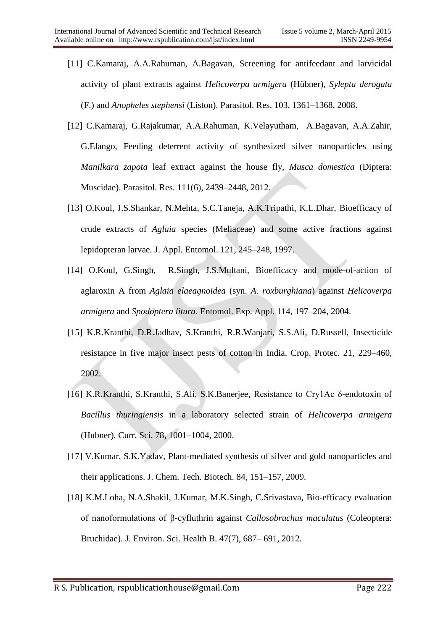- [11] C.Kamaraj, A.A.Rahuman, A.Bagavan, Screening for antifeedant and larvicidal activity of plant extracts against *Helicoverpa armigera* (Hübner), *Sylepta derogata* (F.) and *Anopheles stephensi* (Liston). Parasitol. Res. 103, 1361–1368, 2008.
- [12] C.Kamaraj, G.Rajakumar, A.A.Rahuman, K.Velayutham, A.Bagavan, A.A.Zahir, G.Elango, Feeding deterrent activity of synthesized silver nanoparticles using *Manilkara zapota* leaf extract against the house fly, *Musca domestica* (Diptera: Muscidae). Parasitol. Res. 111(6), 2439–2448, 2012.
- [13] O.Koul, J.S.Shankar, N.Mehta, S.C.Taneja, A.K.Tripathi, K.L.Dhar, Bioefficacy of crude extracts of *Aglaia* species (Meliaceae) and some active fractions against lepidopteran larvae. J. Appl. Entomol. 121, 245–248, 1997.
- [14] O.Koul, G.Singh, R.Singh, J.S.Multani, Bioefficacy and mode-of-action of aglaroxin A from *Aglaia elaeagnoidea* (syn. *A*. *roxburghiana*) against *Helicoverpa armigera* and *Spodoptera litura*. Entomol. Exp. Appl. 114, 197–204, 2004.
- [15] K.R.Kranthi, D.R.Jadhav, S.Kranthi, R.R.Wanjari, S.S.Ali, D.Russell, Insecticide resistance in five major insect pests of cotton in India. Crop. Protec. 21, 229–460, 2002.
- [16] K.R.Kranthi, S.Kranthi, S.Ali, S.K.Banerjee, Resistance to Cry1Ac δ-endotoxin of *Bacillus thuringiensis* in a laboratory selected strain of *Helicoverpa armigera* (Hubner). Curr. Sci. 78, 1001–1004, 2000.
- [17] V.Kumar, S.K.Yadav, Plant-mediated synthesis of silver and gold nanoparticles and their applications. J. Chem. Tech. Biotech. 84, 151–157, 2009.
- [18] K.M.Loha, N.A.Shakil, J.Kumar, M.K.Singh, C.Srivastava, Bio-efficacy evaluation of nanoformulations of β-cyfluthrin against *Callosobruchus maculatus* (Coleoptera: Bruchidae). J. Environ. Sci. Health B. 47(7), 687– 691, 2012.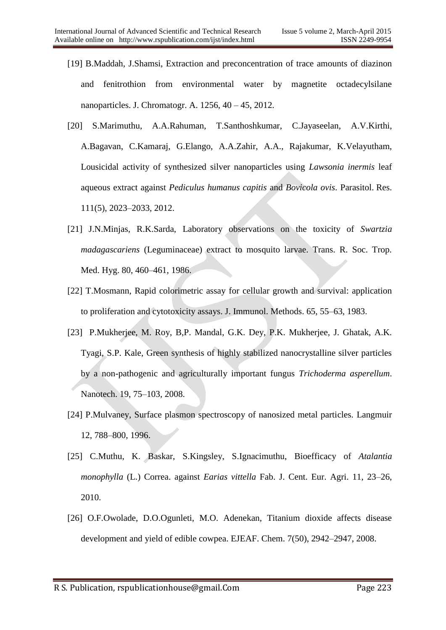- [19] B.Maddah, J.Shamsi, Extraction and preconcentration of trace amounts of diazinon and fenitrothion from environmental water by magnetite octadecylsilane nanoparticles. J. Chromatogr. A. 1256, 40 – 45, 2012.
- [20] S.Marimuthu, A.A.Rahuman, T.Santhoshkumar, C.Jayaseelan, A.V.Kirthi, A.Bagavan, C.Kamaraj, G.Elango, A.A.Zahir, A.A., Rajakumar, K.Velayutham, Lousicidal activity of synthesized silver nanoparticles using *Lawsonia inermis* leaf aqueous extract against *Pediculus humanus capitis* and *Bovicola ovis*. Parasitol. Res. 111(5), 2023–2033, 2012.
- [21] J.N.Minjas, R.K.Sarda, Laboratory observations on the toxicity of *Swartzia madagascariens* (Leguminaceae) extract to mosquito larvae. Trans. R. Soc. Trop. Med. Hyg. 80, 460–461, 1986.
- [22] T.Mosmann, Rapid colorimetric assay for cellular growth and survival: application to proliferation and cytotoxicity assays. J. Immunol. Methods. 65, 55–63, 1983.
- [23] P.Mukherjee, M. Roy, B,P. Mandal, G.K. Dey, P.K. Mukherjee, J. Ghatak, A.K. Tyagi, S.P. Kale, Green synthesis of highly stabilized nanocrystalline silver particles by a non-pathogenic and agriculturally important fungus *Trichoderma asperellum*. Nanotech. 19, 75–103, 2008.
- [24] P.Mulvaney, Surface plasmon spectroscopy of nanosized metal particles. Langmuir 12, 788–800, 1996.
- [25] C.Muthu, K. Baskar, S.Kingsley, S.Ignacimuthu, Bioefficacy of *Atalantia monophylla* (L.) Correa. against *Earias vittella* Fab. J. Cent. Eur. Agri. 11, 23–26, 2010.
- [26] O.F.Owolade, D.O.Ogunleti, M.O. Adenekan, Titanium dioxide affects disease development and yield of edible cowpea. EJEAF. Chem. 7(50), 2942–2947, 2008.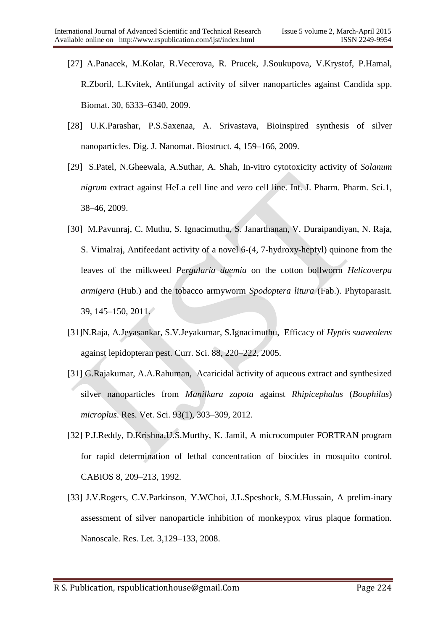- [27] A.Panacek, M.Kolar, R.Vecerova, R. Prucek, J.Soukupova, V.Krystof, P.Hamal, R.Zboril, L.Kvitek, Antifungal activity of silver nanoparticles against Candida spp. Biomat. 30, 6333–6340, 2009.
- [28] U.K.Parashar, P.S.Saxenaa, A. Srivastava, Bioinspired synthesis of silver nanoparticles. Dig. J. Nanomat. Biostruct. 4, 159–166, 2009.
- [29] S.Patel, N.Gheewala, A.Suthar, A. Shah, In-vitro cytotoxicity activity of *Solanum nigrum* extract against HeLa cell line and *vero* cell line. Int. J. Pharm. Pharm. Sci.1, 38–46, 2009.
- [30] M.Pavunraj, C. Muthu, S. Ignacimuthu, S. Janarthanan, V. Duraipandiyan, N. Raja, S. Vimalraj, Antifeedant activity of a novel 6-(4, 7-hydroxy-heptyl) quinone from the leaves of the milkweed *Pergularia daemia* on the cotton bollworm *Helicoverpa armigera* (Hub.) and the tobacco armyworm *Spodoptera litura* (Fab.). Phytoparasit. 39, 145–150, 2011.
- [31]N.Raja, A.Jeyasankar, S.V.Jeyakumar, S.Ignacimuthu, Efficacy of *Hyptis suaveolens* against lepidopteran pest. Curr. Sci. 88, 220–222, 2005.
- [31] G.Rajakumar, A.A.Rahuman, Acaricidal activity of aqueous extract and synthesized silver nanoparticles from *Manilkara zapota* against *Rhipicephalus* (*Boophilus*) *microplus*. Res. Vet. Sci. 93(1), 303–309, 2012.
- [32] P.J.Reddy, D.Krishna,U.S.Murthy, K. Jamil, A microcomputer FORTRAN program for rapid determination of lethal concentration of biocides in mosquito control. CABIOS 8, 209–213, 1992.
- [33] J.V.Rogers, C.V.Parkinson, Y.WChoi, J.L.Speshock, S.M.Hussain, A prelim-inary assessment of silver nanoparticle inhibition of monkeypox virus plaque formation. Nanoscale. Res. Let. 3,129–133, 2008.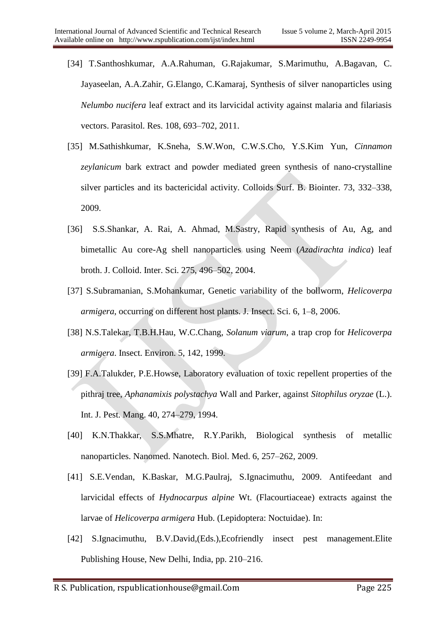- [34] T.Santhoshkumar, A.A.Rahuman, G.Rajakumar, S.Marimuthu, A.Bagavan, C. Jayaseelan, A.A.Zahir, G.Elango, C.Kamaraj, Synthesis of silver nanoparticles using *Nelumbo nucifera* leaf extract and its larvicidal activity against malaria and filariasis vectors. Parasitol. Res. 108, 693–702, 2011.
- [35] M.Sathishkumar, K.Sneha, S.W.Won, C.W.S.Cho, Y.S.Kim Yun, *Cinnamon zeylanicum* bark extract and powder mediated green synthesis of nano-crystalline silver particles and its bactericidal activity. Colloids Surf. B. Biointer. 73, 332–338, 2009.
- [36] S.S.Shankar, A. Rai, A. Ahmad, M.Sastry, Rapid synthesis of Au, Ag, and bimetallic Au core-Ag shell nanoparticles using Neem (*Azadirachta indica*) leaf broth. J. Colloid. Inter. Sci. 275, 496–502, 2004.
- [37] S.Subramanian, S.Mohankumar, Genetic variability of the bollworm, *Helicoverpa armigera*, occurring on different host plants. J. Insect. Sci. 6, 1–8, 2006.
- [38] N.S.Talekar, T.B.H.Hau, W.C.Chang, *Solanum viarum*, a trap crop for *Helicoverpa armigera*. Insect. Environ. 5, 142, 1999.
- [39] F.A.Talukder, P.E.Howse, Laboratory evaluation of toxic repellent properties of the pithraj tree, *Aphanamixis polystachya* Wall and Parker, against *Sitophilus oryzae* (L.). Int. J. Pest. Mang. 40, 274–279, 1994.
- [40] K.N.Thakkar, S.S.Mhatre, R.Y.Parikh, Biological synthesis of metallic nanoparticles. Nanomed. Nanotech. Biol. Med. 6, 257–262, 2009.
- [41] S.E.Vendan, K.Baskar, M.G.Paulraj, S.Ignacimuthu, 2009. Antifeedant and larvicidal effects of *Hydnocarpus alpine* Wt. (Flacourtiaceae) extracts against the larvae of *Helicoverpa armigera* Hub. (Lepidoptera: Noctuidae). In:
- [42] S.Ignacimuthu, B.V.David,(Eds.),Ecofriendly insect pest management.Elite Publishing House, New Delhi, India, pp. 210–216.